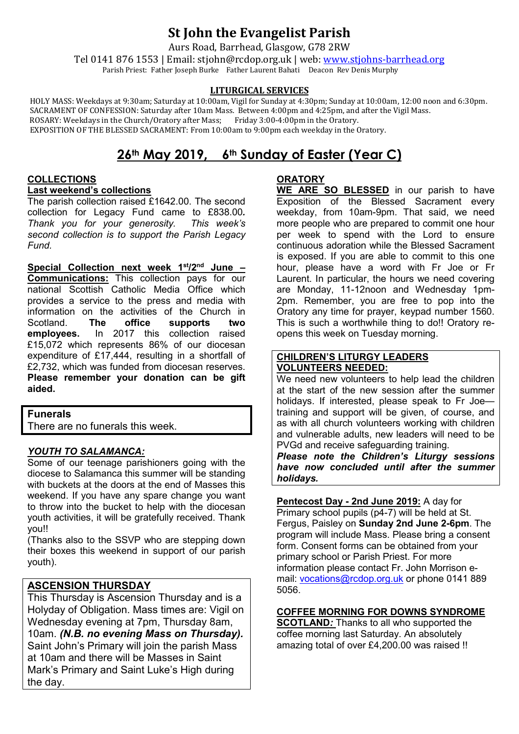# **St John the Evangelist Parish**

Aurs Road, Barrhead, Glasgow, G78 2RW

Tel 0141 876 1553 | Email: stjohn@rcdop.org.uk | web: [www.stjohns-barrhead.org](http://www.stjohns-barrhead.org/) Parish Priest: Father Joseph Burke Father Laurent Bahati Deacon Rev Denis Murphy

### **LITURGICAL SERVICES**

 HOLY MASS: Weekdays at 9:30am; Saturday at 10:00am, Vigil for Sunday at 4:30pm; Sunday at 10:00am, 12:00 noon and 6:30pm. SACRAMENT OF CONFESSION: Saturday after 10am Mass. Between 4:00pm and 4:25pm, and after the Vigil Mass.<br>ROSARY: Weekdays in the Church/Oratory after Mass; Friday 3:00-4:00pm in the Oratory. ROSARY: Weekdays in the Church/Oratory after Mass; Friday 3:00-4:00pm in the Oratory. EXPOSITION OF THE BLESSED SACRAMENT: From 10:00am to 9:00pm each weekday in the Oratory.

## **26th May 2019, 6th Sunday of Easter (Year C)**

## **COLLECTIONS**

**Last weekend's collections**

The parish collection raised £1642.00. The second collection for Legacy Fund came to £838.00*. Thank you for your generosity. second collection is to support the Parish Legacy Fund.*

**Special Collection next week 1st/2nd June – Communications:** This collection pays for our national Scottish Catholic Media Office which provides a service to the press and media with information on the activities of the Church in<br>Scotland. **The office supports two** Scotland. **The office supports two employees.** In 2017 this collection raised £15,072 which represents 86% of our diocesan expenditure of £17,444, resulting in a shortfall of £2,732, which was funded from diocesan reserves. **Please remember your donation can be gift aided.**

### **Funerals**

There are no funerals this week.

### *YOUTH TO SALAMANCA:*

Some of our teenage parishioners going with the diocese to Salamanca this summer will be standing with buckets at the doors at the end of Masses this weekend. If you have any spare change you want to throw into the bucket to help with the diocesan youth activities, it will be gratefully received. Thank you!!

(Thanks also to the SSVP who are stepping down their boxes this weekend in support of our parish youth).

## **ASCENSION THURSDAY**

This Thursday is Ascension Thursday and is a Holyday of Obligation. Mass times are: Vigil on Wednesday evening at 7pm, Thursday 8am, 10am. *(N.B. no evening Mass on Thursday).* Saint John's Primary will join the parish Mass at 10am and there will be Masses in Saint Mark's Primary and Saint Luke's High during the day.

## **ORATORY**

**WE ARE SO BLESSED** in our parish to have Exposition of the Blessed Sacrament every weekday, from 10am-9pm. That said, we need more people who are prepared to commit one hour per week to spend with the Lord to ensure continuous adoration while the Blessed Sacrament is exposed. If you are able to commit to this one hour, please have a word with Fr Joe or Fr Laurent. In particular, the hours we need covering are Monday, 11-12noon and Wednesday 1pm-2pm. Remember, you are free to pop into the Oratory any time for prayer, keypad number 1560. This is such a worthwhile thing to do!! Oratory reopens this week on Tuesday morning.

#### **CHILDREN'S LITURGY LEADERS VOLUNTEERS NEEDED:**

We need new volunteers to help lead the children at the start of the new session after the summer holidays. If interested, please speak to Fr Joe training and support will be given, of course, and as with all church volunteers working with children and vulnerable adults, new leaders will need to be PVGd and receive safeguarding training.

*Please note the Children's Liturgy sessions have now concluded until after the summer holidays.*

**Pentecost Day - 2nd June 2019:** A day for Primary school pupils (p4-7) will be held at St. Fergus, Paisley on **Sunday 2nd June 2-6pm**. The program will include Mass. Please bring a consent form. Consent forms can be obtained from your primary school or Parish Priest. For more information please contact Fr. John Morrison email: [vocations@rcdop.org.uk](mailto:vocations@rcdop.org.uk) or phone 0141 889 5056.

**COFFEE MORNING FOR DOWNS SYNDROME**

**SCOTLAND***:* Thanks to all who supported the coffee morning last Saturday. An absolutely amazing total of over £4,200.00 was raised !!